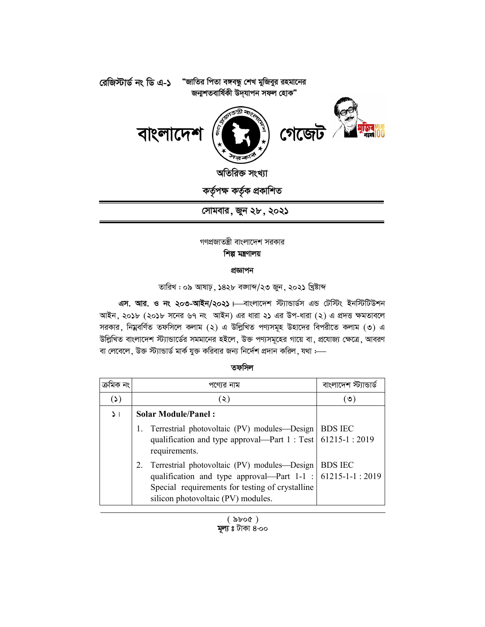

সোমবার, জুন ২৮, ২০২১

গণপ্রজাতন্ত্রী বাংলাদেশ সরকার শিল্প মন্ত্ৰণালয়

প্ৰজ্ঞাপন

তারিখ: ০৯ আষাঢ়, ১৪২৮ বজাজ/২৩ জুন, ২০২১ খ্রিষ্টাব্দ

এস. আর. ও নং ২০৩-আইন/২০২১। বাংলাদেশ স্ট্যান্ডার্ডস এন্ড টেস্টিং ইনস্টিটিউশন আইন, ২০১৮ (২০১৮ সনের ৬৭ নং আইন) এর ধারা ২১ এর উপ-ধারা (২) এ প্রদত্ত ক্ষমতাবলে সরকার, নিম্নবর্ণিত তফসিলে কলাম (২) এ উল্লিখিত পণ্যসমূহ উহাদের বিপরীতে কলাম (৩) এ উল্লিখিত বাংলাদেশ স্ট্যান্ডার্ডের সমমানের হইলে, উক্ত পণ্যসমূহের গায়ে বা, প্রযোজ্য ক্ষেত্রে, আবরণ বা লেবেলে, উক্ত স্ট্যান্ডার্ড মার্ক যুক্ত করিবার জন্য নির্দেশ প্রদান করিল, যথা :--

## তফসিল

|          | পণ্যের নাম                                                                                                                                                                                                   | বাংলাদেশ স     |
|----------|--------------------------------------------------------------------------------------------------------------------------------------------------------------------------------------------------------------|----------------|
| (3)      | (২)                                                                                                                                                                                                          | (৩)            |
| $\geq$ 1 | <b>Solar Module/Panel:</b>                                                                                                                                                                                   |                |
|          | Terrestrial photovoltaic (PV) modules-Design   BDS IEC<br>qualification and type approval—Part 1 : Test   61215-1 : 2019<br>requirements.                                                                    |                |
|          | Terrestrial photovoltaic (PV) modules-Design<br>2.<br>qualification and type approval—Part $1-1$ : 61215-1-1 : 2019<br>Special requirements for testing of crystalline<br>silicon photovoltaic (PV) modules. | <b>BDS IEC</b> |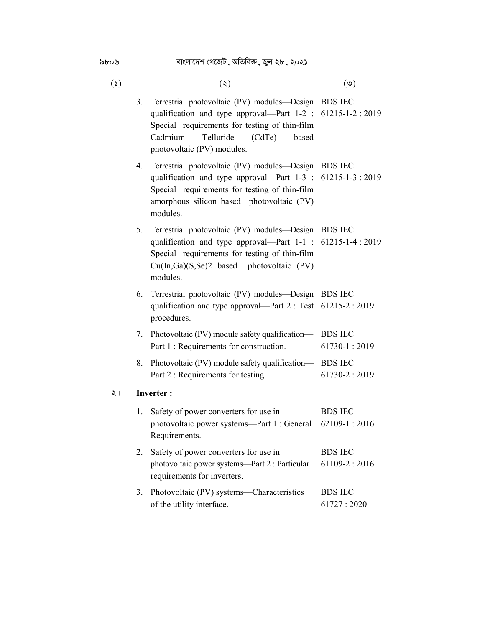## ৯৮০৬ বাংলাদেশ গেজেট, অতিরিক্ত, জুন ২৮, ২০২১

| $\mathbf{r}(\mathbf{r})$ | (5)                                                                                                                                                                                                                          | $(\mathcal{O})$                        |
|--------------------------|------------------------------------------------------------------------------------------------------------------------------------------------------------------------------------------------------------------------------|----------------------------------------|
|                          | Terrestrial photovoltaic (PV) modules-Design<br>3.<br>qualification and type approval—Part $1-2$ :<br>Special requirements for testing of thin-film<br>Telluride<br>Cadmium<br>(CdTe)<br>based<br>photovoltaic (PV) modules. | <b>BDS IEC</b><br>$61215 - 1 - 2:2019$ |
|                          | Terrestrial photovoltaic (PV) modules-Design<br>4.<br>qualification and type approval—Part 1-3 :<br>Special requirements for testing of thin-film<br>amorphous silicon based photovoltaic (PV)<br>modules.                   | <b>BDS IEC</b><br>$61215 - 1 - 3:2019$ |
|                          | Terrestrial photovoltaic (PV) modules—Design<br>5.<br>qualification and type approval—Part 1-1 :<br>Special requirements for testing of thin-film<br>Cu(In,Ga)(S,Se)2 based photovoltaic (PV)<br>modules.                    | <b>BDS IEC</b><br>$61215 - 1 - 4:2019$ |
|                          | Terrestrial photovoltaic (PV) modules—Design<br>6.<br>qualification and type approval—Part 2 : Test<br>procedures.                                                                                                           | <b>BDS IEC</b><br>$61215 - 2:2019$     |
|                          | Photovoltaic (PV) module safety qualification-<br>7.<br>Part 1 : Requirements for construction.                                                                                                                              | <b>BDS IEC</b><br>$61730 - 1:2019$     |
|                          | Photovoltaic (PV) module safety qualification-<br>8.<br>Part 2 : Requirements for testing.                                                                                                                                   | <b>BDS IEC</b><br>$61730 - 2:2019$     |
| २।                       | <b>Inverter:</b>                                                                                                                                                                                                             |                                        |
|                          | Safety of power converters for use in<br>1.<br>photovoltaic power systems-Part 1 : General<br>Requirements.                                                                                                                  | <b>BDS IEC</b><br>$62109 - 1:2016$     |
|                          | Safety of power converters for use in<br>2.<br>photovoltaic power systems-Part 2 : Particular<br>requirements for inverters.                                                                                                 | <b>BDS IEC</b><br>$61109 - 2:2016$     |
|                          | Photovoltaic (PV) systems—Characteristics<br>3.<br>of the utility interface.                                                                                                                                                 | <b>BDS IEC</b><br>61727:2020           |